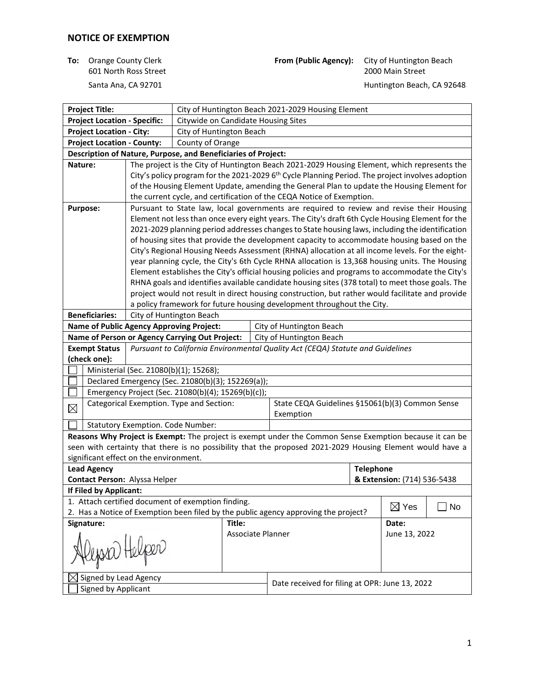601 North Ross Street

**To:** Orange County Clerk **From (Public Agency):** City of Huntington Beach 601 North Ross Street **From Counting County** 

Santa Ana, CA 92701 **Matuka Ana ang Pandala ng Panahalang Pandala ng Pandala ng Pandala ng Panahala** Huntington Beach, CA 92648

| <b>Project Title:</b>                                                                                       |                                                                                                                               |                                          |                                                    | City of Huntington Beach 2021-2029 Housing Element |                                                                                                                                                                                                     |  |                 |    |
|-------------------------------------------------------------------------------------------------------------|-------------------------------------------------------------------------------------------------------------------------------|------------------------------------------|----------------------------------------------------|----------------------------------------------------|-----------------------------------------------------------------------------------------------------------------------------------------------------------------------------------------------------|--|-----------------|----|
| <b>Project Location - Specific:</b><br>Citywide on Candidate Housing Sites                                  |                                                                                                                               |                                          |                                                    |                                                    |                                                                                                                                                                                                     |  |                 |    |
|                                                                                                             | <b>Project Location - City:</b>                                                                                               |                                          |                                                    | City of Huntington Beach                           |                                                                                                                                                                                                     |  |                 |    |
| <b>Project Location - County:</b><br>County of Orange                                                       |                                                                                                                               |                                          |                                                    |                                                    |                                                                                                                                                                                                     |  |                 |    |
|                                                                                                             | Description of Nature, Purpose, and Beneficiaries of Project:                                                                 |                                          |                                                    |                                                    |                                                                                                                                                                                                     |  |                 |    |
| Nature:                                                                                                     |                                                                                                                               |                                          |                                                    |                                                    | The project is the City of Huntington Beach 2021-2029 Housing Element, which represents the                                                                                                         |  |                 |    |
|                                                                                                             |                                                                                                                               |                                          |                                                    |                                                    | City's policy program for the 2021-2029 6 <sup>th</sup> Cycle Planning Period. The project involves adoption                                                                                        |  |                 |    |
|                                                                                                             |                                                                                                                               |                                          |                                                    |                                                    | of the Housing Element Update, amending the General Plan to update the Housing Element for                                                                                                          |  |                 |    |
|                                                                                                             |                                                                                                                               |                                          |                                                    |                                                    | the current cycle, and certification of the CEQA Notice of Exemption.                                                                                                                               |  |                 |    |
|                                                                                                             | Purpose:                                                                                                                      |                                          |                                                    |                                                    | Pursuant to State law, local governments are required to review and revise their Housing                                                                                                            |  |                 |    |
|                                                                                                             |                                                                                                                               |                                          |                                                    |                                                    | Element not less than once every eight years. The City's draft 6th Cycle Housing Element for the                                                                                                    |  |                 |    |
|                                                                                                             |                                                                                                                               |                                          |                                                    |                                                    | 2021-2029 planning period addresses changes to State housing laws, including the identification                                                                                                     |  |                 |    |
|                                                                                                             |                                                                                                                               |                                          |                                                    |                                                    | of housing sites that provide the development capacity to accommodate housing based on the                                                                                                          |  |                 |    |
|                                                                                                             |                                                                                                                               |                                          |                                                    |                                                    | City's Regional Housing Needs Assessment (RHNA) allocation at all income levels. For the eight-                                                                                                     |  |                 |    |
|                                                                                                             |                                                                                                                               |                                          |                                                    |                                                    | year planning cycle, the City's 6th Cycle RHNA allocation is 13,368 housing units. The Housing                                                                                                      |  |                 |    |
|                                                                                                             |                                                                                                                               |                                          |                                                    |                                                    | Element establishes the City's official housing policies and programs to accommodate the City's<br>RHNA goals and identifies available candidate housing sites (378 total) to meet those goals. The |  |                 |    |
|                                                                                                             |                                                                                                                               |                                          |                                                    |                                                    | project would not result in direct housing construction, but rather would facilitate and provide                                                                                                    |  |                 |    |
|                                                                                                             |                                                                                                                               |                                          |                                                    |                                                    | a policy framework for future housing development throughout the City.                                                                                                                              |  |                 |    |
|                                                                                                             | <b>Beneficiaries:</b>                                                                                                         |                                          | City of Huntington Beach                           |                                                    |                                                                                                                                                                                                     |  |                 |    |
|                                                                                                             |                                                                                                                               |                                          |                                                    |                                                    | City of Huntington Beach                                                                                                                                                                            |  |                 |    |
|                                                                                                             | <b>Name of Public Agency Approving Project:</b><br>Name of Person or Agency Carrying Out Project:<br>City of Huntington Beach |                                          |                                                    |                                                    |                                                                                                                                                                                                     |  |                 |    |
|                                                                                                             | <b>Exempt Status</b>                                                                                                          |                                          |                                                    |                                                    | Pursuant to California Environmental Quality Act (CEQA) Statute and Guidelines                                                                                                                      |  |                 |    |
|                                                                                                             | (check one):                                                                                                                  |                                          |                                                    |                                                    |                                                                                                                                                                                                     |  |                 |    |
|                                                                                                             |                                                                                                                               |                                          | Ministerial (Sec. 21080(b)(1); 15268);             |                                                    |                                                                                                                                                                                                     |  |                 |    |
|                                                                                                             |                                                                                                                               |                                          | Declared Emergency (Sec. 21080(b)(3); 152269(a));  |                                                    |                                                                                                                                                                                                     |  |                 |    |
|                                                                                                             |                                                                                                                               |                                          | Emergency Project (Sec. 21080(b)(4); 15269(b)(c)); |                                                    |                                                                                                                                                                                                     |  |                 |    |
| $\boxtimes$                                                                                                 |                                                                                                                               |                                          | Categorical Exemption. Type and Section:           |                                                    | State CEQA Guidelines §15061(b)(3) Common Sense                                                                                                                                                     |  |                 |    |
|                                                                                                             |                                                                                                                               |                                          |                                                    |                                                    | Exemption                                                                                                                                                                                           |  |                 |    |
|                                                                                                             |                                                                                                                               | <b>Statutory Exemption. Code Number:</b> |                                                    |                                                    |                                                                                                                                                                                                     |  |                 |    |
|                                                                                                             |                                                                                                                               |                                          |                                                    |                                                    | Reasons Why Project is Exempt: The project is exempt under the Common Sense Exemption because it can be                                                                                             |  |                 |    |
|                                                                                                             |                                                                                                                               |                                          |                                                    |                                                    | seen with certainty that there is no possibility that the proposed 2021-2029 Housing Element would have a                                                                                           |  |                 |    |
|                                                                                                             |                                                                                                                               | significant effect on the environment.   |                                                    |                                                    |                                                                                                                                                                                                     |  |                 |    |
| <b>Lead Agency</b>                                                                                          |                                                                                                                               |                                          |                                                    | <b>Telephone</b>                                   |                                                                                                                                                                                                     |  |                 |    |
|                                                                                                             | Contact Person: Alyssa Helper<br>& Extension: (714) 536-5438<br>If Filed by Applicant:                                        |                                          |                                                    |                                                    |                                                                                                                                                                                                     |  |                 |    |
|                                                                                                             |                                                                                                                               |                                          |                                                    |                                                    |                                                                                                                                                                                                     |  |                 |    |
|                                                                                                             |                                                                                                                               |                                          | 1. Attach certified document of exemption finding. |                                                    |                                                                                                                                                                                                     |  | $\boxtimes$ Yes | No |
| 2. Has a Notice of Exemption been filed by the public agency approving the project?<br>Signature:<br>Title: |                                                                                                                               |                                          |                                                    |                                                    |                                                                                                                                                                                                     |  |                 |    |
| Associate Planner                                                                                           |                                                                                                                               |                                          |                                                    | Date:<br>June 13, 2022                             |                                                                                                                                                                                                     |  |                 |    |
|                                                                                                             |                                                                                                                               |                                          |                                                    |                                                    |                                                                                                                                                                                                     |  |                 |    |
| lepsia) Helper                                                                                              |                                                                                                                               |                                          |                                                    |                                                    |                                                                                                                                                                                                     |  |                 |    |
|                                                                                                             |                                                                                                                               |                                          |                                                    |                                                    |                                                                                                                                                                                                     |  |                 |    |
|                                                                                                             | $\trianglelefteq$ Signed by Lead Agency                                                                                       |                                          |                                                    |                                                    |                                                                                                                                                                                                     |  |                 |    |
| Signed by Applicant                                                                                         |                                                                                                                               |                                          |                                                    | Date received for filing at OPR: June 13, 2022     |                                                                                                                                                                                                     |  |                 |    |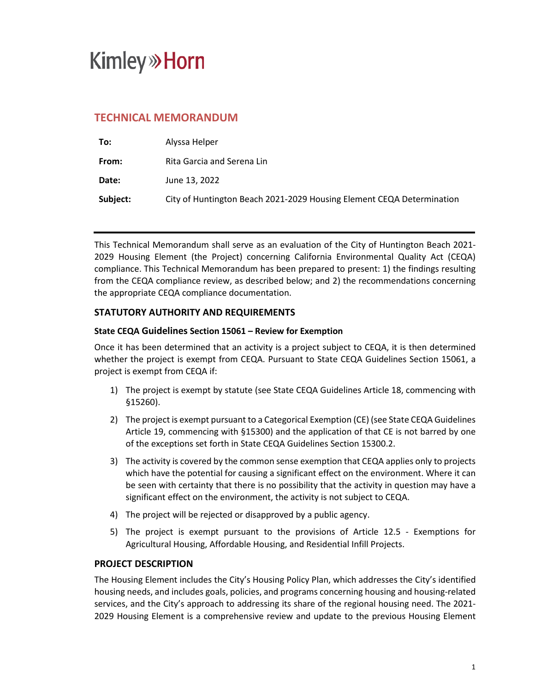# **Kimley»Horn**

### **TECHNICAL MEMORANDUM**

| To:      | Alyssa Helper                                                         |
|----------|-----------------------------------------------------------------------|
| From:    | Rita Garcia and Serena Lin                                            |
| Date:    | June 13, 2022                                                         |
| Subject: | City of Huntington Beach 2021-2029 Housing Element CEQA Determination |

This Technical Memorandum shall serve as an evaluation of the City of Huntington Beach 2021- 2029 Housing Element (the Project) concerning California Environmental Quality Act (CEQA) compliance. This Technical Memorandum has been prepared to present: 1) the findings resulting from the CEQA compliance review, as described below; and 2) the recommendations concerning the appropriate CEQA compliance documentation.

### **STATUTORY AUTHORITY AND REQUIREMENTS**

### **State CEQA Guidelines Section 15061 – Review for Exemption**

Once it has been determined that an activity is a project subject to CEQA, it is then determined whether the project is exempt from CEQA. Pursuant to State CEQA Guidelines Section 15061, a project is exempt from CEQA if:

- 1) The project is exempt by statute (see State CEQA Guidelines Article 18, commencing with §15260).
- 2) The project is exempt pursuant to a Categorical Exemption (CE) (see State CEQA Guidelines Article 19, commencing with §15300) and the application of that CE is not barred by one of the exceptions set forth in State CEQA Guidelines Section 15300.2.
- 3) The activity is covered by the common sense exemption that CEQA applies only to projects which have the potential for causing a significant effect on the environment. Where it can be seen with certainty that there is no possibility that the activity in question may have a significant effect on the environment, the activity is not subject to CEQA.
- 4) The project will be rejected or disapproved by a public agency.
- 5) The project is exempt pursuant to the provisions of Article 12.5 Exemptions for Agricultural Housing, Affordable Housing, and Residential Infill Projects.

### **PROJECT DESCRIPTION**

The Housing Element includes the City's Housing Policy Plan, which addresses the City's identified housing needs, and includes goals, policies, and programs concerning housing and housing-related services, and the City's approach to addressing its share of the regional housing need. The 2021- 2029 Housing Element is a comprehensive review and update to the previous Housing Element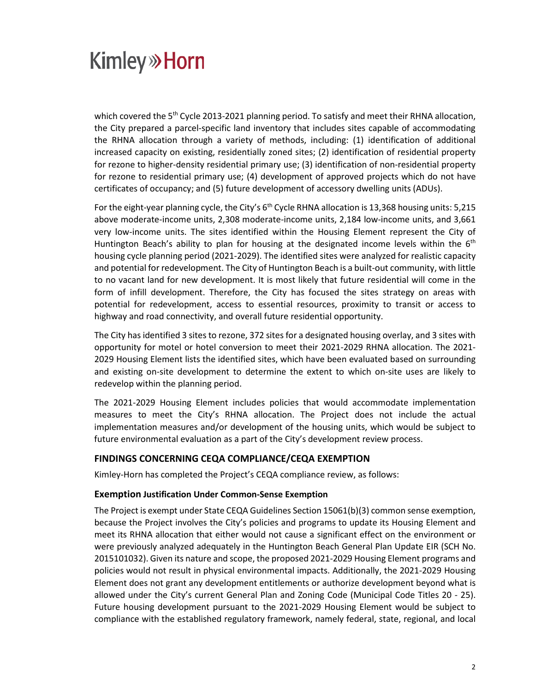# **Kimley» Horn**

which covered the  $5<sup>th</sup>$  Cycle 2013-2021 planning period. To satisfy and meet their RHNA allocation, the City prepared a parcel-specific land inventory that includes sites capable of accommodating the RHNA allocation through a variety of methods, including: (1) identification of additional increased capacity on existing, residentially zoned sites; (2) identification of residential property for rezone to higher-density residential primary use; (3) identification of non-residential property for rezone to residential primary use; (4) development of approved projects which do not have certificates of occupancy; and (5) future development of accessory dwelling units (ADUs).

For the eight-year planning cycle, the City's 6<sup>th</sup> Cycle RHNA allocation is 13,368 housing units: 5,215 above moderate-income units, 2,308 moderate-income units, 2,184 low-income units, and 3,661 very low-income units. The sites identified within the Housing Element represent the City of Huntington Beach's ability to plan for housing at the designated income levels within the  $6<sup>th</sup>$ housing cycle planning period (2021-2029). The identified sites were analyzed for realistic capacity and potential for redevelopment. The City of Huntington Beach is a built-out community, with little to no vacant land for new development. It is most likely that future residential will come in the form of infill development. Therefore, the City has focused the sites strategy on areas with potential for redevelopment, access to essential resources, proximity to transit or access to highway and road connectivity, and overall future residential opportunity.

The City has identified 3 sites to rezone, 372 sites for a designated housing overlay, and 3 sites with opportunity for motel or hotel conversion to meet their 2021-2029 RHNA allocation. The 2021- 2029 Housing Element lists the identified sites, which have been evaluated based on surrounding and existing on-site development to determine the extent to which on-site uses are likely to redevelop within the planning period.

The 2021-2029 Housing Element includes policies that would accommodate implementation measures to meet the City's RHNA allocation. The Project does not include the actual implementation measures and/or development of the housing units, which would be subject to future environmental evaluation as a part of the City's development review process.

#### **FINDINGS CONCERNING CEQA COMPLIANCE/CEQA EXEMPTION**

Kimley-Horn has completed the Project's CEQA compliance review, as follows:

#### **Exemption Justification Under Common-Sense Exemption**

The Project is exempt under State CEQA Guidelines Section 15061(b)(3) common sense exemption, because the Project involves the City's policies and programs to update its Housing Element and meet its RHNA allocation that either would not cause a significant effect on the environment or were previously analyzed adequately in the Huntington Beach General Plan Update EIR (SCH No. 2015101032). Given its nature and scope, the proposed 2021-2029 Housing Element programs and policies would not result in physical environmental impacts. Additionally, the 2021-2029 Housing Element does not grant any development entitlements or authorize development beyond what is allowed under the City's current General Plan and Zoning Code (Municipal Code Titles 20 - 25). Future housing development pursuant to the 2021-2029 Housing Element would be subject to compliance with the established regulatory framework, namely federal, state, regional, and local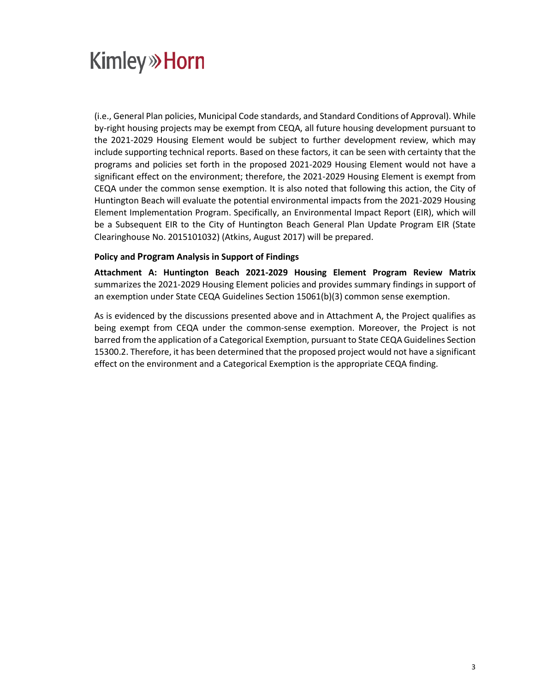# **Kimley»Horn**

(i.e., General Plan policies, Municipal Code standards, and Standard Conditions of Approval). While by-right housing projects may be exempt from CEQA, all future housing development pursuant to the 2021-2029 Housing Element would be subject to further development review, which may include supporting technical reports. Based on these factors, it can be seen with certainty that the programs and policies set forth in the proposed 2021-2029 Housing Element would not have a significant effect on the environment; therefore, the 2021-2029 Housing Element is exempt from CEQA under the common sense exemption. It is also noted that following this action, the City of Huntington Beach will evaluate the potential environmental impacts from the 2021-2029 Housing Element Implementation Program. Specifically, an Environmental Impact Report (EIR), which will be a Subsequent EIR to the City of Huntington Beach General Plan Update Program EIR (State Clearinghouse No. 2015101032) (Atkins, August 2017) will be prepared.

### **Policy and Program Analysis in Support of Findings**

**Attachment A: Huntington Beach 2021-2029 Housing Element Program Review Matrix** summarizes the 2021-2029 Housing Element policies and provides summary findings in support of an exemption under State CEQA Guidelines Section 15061(b)(3) common sense exemption.

As is evidenced by the discussions presented above and in Attachment A, the Project qualifies as being exempt from CEQA under the common-sense exemption. Moreover, the Project is not barred from the application of a Categorical Exemption, pursuant to State CEQA Guidelines Section 15300.2. Therefore, it has been determined that the proposed project would not have a significant effect on the environment and a Categorical Exemption is the appropriate CEQA finding.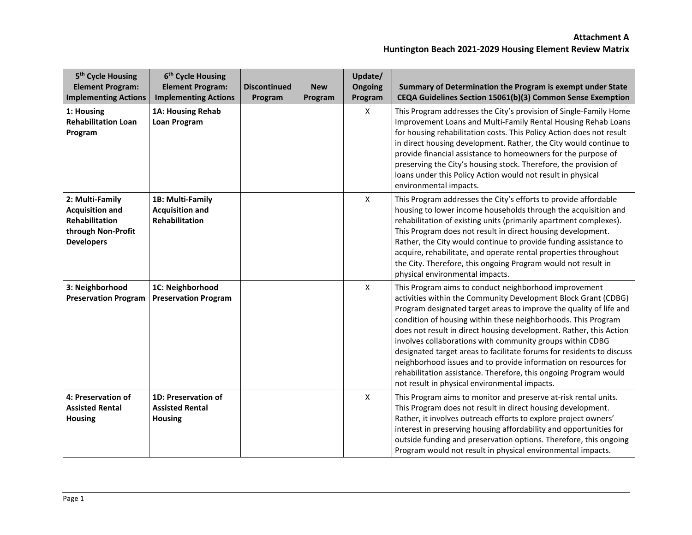| 5 <sup>th</sup> Cycle Housing<br><b>Element Program:</b><br><b>Implementing Actions</b>                | 6 <sup>th</sup> Cycle Housing<br><b>Element Program:</b><br><b>Implementing Actions</b> | <b>Discontinued</b><br>Program | <b>New</b><br>Program | Update/<br>Ongoing<br>Program | Summary of Determination the Program is exempt under State<br>CEQA Guidelines Section 15061(b)(3) Common Sense Exemption                                                                                                                                                                                                                                                                                                                                                                                                                                                                                                                                           |
|--------------------------------------------------------------------------------------------------------|-----------------------------------------------------------------------------------------|--------------------------------|-----------------------|-------------------------------|--------------------------------------------------------------------------------------------------------------------------------------------------------------------------------------------------------------------------------------------------------------------------------------------------------------------------------------------------------------------------------------------------------------------------------------------------------------------------------------------------------------------------------------------------------------------------------------------------------------------------------------------------------------------|
| 1: Housing<br><b>Rehabilitation Loan</b><br>Program                                                    | 1A: Housing Rehab<br><b>Loan Program</b>                                                |                                |                       | $\mathsf{X}$                  | This Program addresses the City's provision of Single-Family Home<br>Improvement Loans and Multi-Family Rental Housing Rehab Loans<br>for housing rehabilitation costs. This Policy Action does not result<br>in direct housing development. Rather, the City would continue to<br>provide financial assistance to homeowners for the purpose of<br>preserving the City's housing stock. Therefore, the provision of<br>loans under this Policy Action would not result in physical<br>environmental impacts.                                                                                                                                                      |
| 2: Multi-Family<br><b>Acquisition and</b><br>Rehabilitation<br>through Non-Profit<br><b>Developers</b> | 1B: Multi-Family<br><b>Acquisition and</b><br><b>Rehabilitation</b>                     |                                |                       | $\mathsf{X}$                  | This Program addresses the City's efforts to provide affordable<br>housing to lower income households through the acquisition and<br>rehabilitation of existing units (primarily apartment complexes).<br>This Program does not result in direct housing development.<br>Rather, the City would continue to provide funding assistance to<br>acquire, rehabilitate, and operate rental properties throughout<br>the City. Therefore, this ongoing Program would not result in<br>physical environmental impacts.                                                                                                                                                   |
| 3: Neighborhood<br><b>Preservation Program</b>                                                         | 1C: Neighborhood<br><b>Preservation Program</b>                                         |                                |                       | X                             | This Program aims to conduct neighborhood improvement<br>activities within the Community Development Block Grant (CDBG)<br>Program designated target areas to improve the quality of life and<br>condition of housing within these neighborhoods. This Program<br>does not result in direct housing development. Rather, this Action<br>involves collaborations with community groups within CDBG<br>designated target areas to facilitate forums for residents to discuss<br>neighborhood issues and to provide information on resources for<br>rehabilitation assistance. Therefore, this ongoing Program would<br>not result in physical environmental impacts. |
| 4: Preservation of<br><b>Assisted Rental</b><br><b>Housing</b>                                         | 1D: Preservation of<br><b>Assisted Rental</b><br><b>Housing</b>                         |                                |                       | $\mathsf{X}$                  | This Program aims to monitor and preserve at-risk rental units.<br>This Program does not result in direct housing development.<br>Rather, it involves outreach efforts to explore project owners'<br>interest in preserving housing affordability and opportunities for<br>outside funding and preservation options. Therefore, this ongoing<br>Program would not result in physical environmental impacts.                                                                                                                                                                                                                                                        |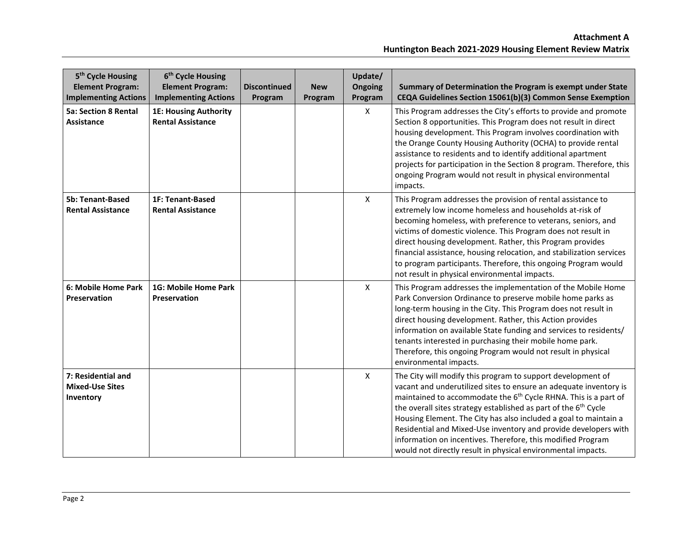| 5 <sup>th</sup> Cycle Housing<br><b>Element Program:</b><br><b>Implementing Actions</b> | 6 <sup>th</sup> Cycle Housing<br><b>Element Program:</b><br><b>Implementing Actions</b> | <b>Discontinued</b><br>Program | <b>New</b><br>Program | Update/<br>Ongoing<br>Program | Summary of Determination the Program is exempt under State<br>CEQA Guidelines Section 15061(b)(3) Common Sense Exemption                                                                                                                                                                                                                                                                                                                                                                                                                                             |
|-----------------------------------------------------------------------------------------|-----------------------------------------------------------------------------------------|--------------------------------|-----------------------|-------------------------------|----------------------------------------------------------------------------------------------------------------------------------------------------------------------------------------------------------------------------------------------------------------------------------------------------------------------------------------------------------------------------------------------------------------------------------------------------------------------------------------------------------------------------------------------------------------------|
| <b>5a: Section 8 Rental</b><br><b>Assistance</b>                                        | <b>1E: Housing Authority</b><br><b>Rental Assistance</b>                                |                                |                       | X                             | This Program addresses the City's efforts to provide and promote<br>Section 8 opportunities. This Program does not result in direct<br>housing development. This Program involves coordination with<br>the Orange County Housing Authority (OCHA) to provide rental<br>assistance to residents and to identify additional apartment<br>projects for participation in the Section 8 program. Therefore, this<br>ongoing Program would not result in physical environmental<br>impacts.                                                                                |
| <b>5b: Tenant-Based</b><br><b>Rental Assistance</b>                                     | <b>1F: Tenant-Based</b><br><b>Rental Assistance</b>                                     |                                |                       | X                             | This Program addresses the provision of rental assistance to<br>extremely low income homeless and households at-risk of<br>becoming homeless, with preference to veterans, seniors, and<br>victims of domestic violence. This Program does not result in<br>direct housing development. Rather, this Program provides<br>financial assistance, housing relocation, and stabilization services<br>to program participants. Therefore, this ongoing Program would<br>not result in physical environmental impacts.                                                     |
| 6: Mobile Home Park<br>Preservation                                                     | 1G: Mobile Home Park<br>Preservation                                                    |                                |                       | X                             | This Program addresses the implementation of the Mobile Home<br>Park Conversion Ordinance to preserve mobile home parks as<br>long-term housing in the City. This Program does not result in<br>direct housing development. Rather, this Action provides<br>information on available State funding and services to residents/<br>tenants interested in purchasing their mobile home park.<br>Therefore, this ongoing Program would not result in physical<br>environmental impacts.                                                                                  |
| 7: Residential and<br><b>Mixed-Use Sites</b><br>Inventory                               |                                                                                         |                                |                       | X                             | The City will modify this program to support development of<br>vacant and underutilized sites to ensure an adequate inventory is<br>maintained to accommodate the 6 <sup>th</sup> Cycle RHNA. This is a part of<br>the overall sites strategy established as part of the 6 <sup>th</sup> Cycle<br>Housing Element. The City has also included a goal to maintain a<br>Residential and Mixed-Use inventory and provide developers with<br>information on incentives. Therefore, this modified Program<br>would not directly result in physical environmental impacts. |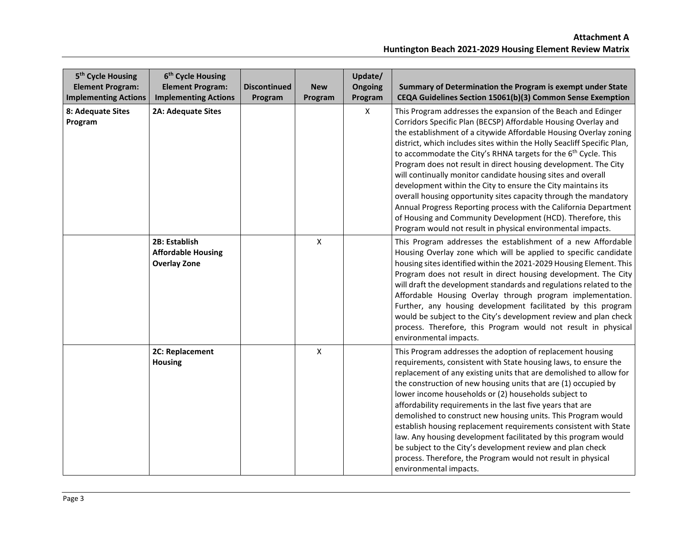| 5 <sup>th</sup> Cycle Housing<br><b>Element Program:</b><br><b>Implementing Actions</b> | 6 <sup>th</sup> Cycle Housing<br><b>Element Program:</b><br><b>Implementing Actions</b> | <b>Discontinued</b><br>Program | <b>New</b><br>Program | Update/<br>Ongoing<br>Program | Summary of Determination the Program is exempt under State<br>CEQA Guidelines Section 15061(b)(3) Common Sense Exemption                                                                                                                                                                                                                                                                                                                                                                                                                                                                                                                                                                                                                                                                                                               |
|-----------------------------------------------------------------------------------------|-----------------------------------------------------------------------------------------|--------------------------------|-----------------------|-------------------------------|----------------------------------------------------------------------------------------------------------------------------------------------------------------------------------------------------------------------------------------------------------------------------------------------------------------------------------------------------------------------------------------------------------------------------------------------------------------------------------------------------------------------------------------------------------------------------------------------------------------------------------------------------------------------------------------------------------------------------------------------------------------------------------------------------------------------------------------|
| 8: Adequate Sites<br>Program                                                            | <b>2A: Adequate Sites</b>                                                               |                                |                       | X                             | This Program addresses the expansion of the Beach and Edinger<br>Corridors Specific Plan (BECSP) Affordable Housing Overlay and<br>the establishment of a citywide Affordable Housing Overlay zoning<br>district, which includes sites within the Holly Seacliff Specific Plan,<br>to accommodate the City's RHNA targets for the 6 <sup>th</sup> Cycle. This<br>Program does not result in direct housing development. The City<br>will continually monitor candidate housing sites and overall<br>development within the City to ensure the City maintains its<br>overall housing opportunity sites capacity through the mandatory<br>Annual Progress Reporting process with the California Department<br>of Housing and Community Development (HCD). Therefore, this<br>Program would not result in physical environmental impacts. |
|                                                                                         | 2B: Establish<br><b>Affordable Housing</b><br><b>Overlay Zone</b>                       |                                | $\pmb{\mathsf{X}}$    |                               | This Program addresses the establishment of a new Affordable<br>Housing Overlay zone which will be applied to specific candidate<br>housing sites identified within the 2021-2029 Housing Element. This<br>Program does not result in direct housing development. The City<br>will draft the development standards and regulations related to the<br>Affordable Housing Overlay through program implementation.<br>Further, any housing development facilitated by this program<br>would be subject to the City's development review and plan check<br>process. Therefore, this Program would not result in physical<br>environmental impacts.                                                                                                                                                                                         |
|                                                                                         | 2C: Replacement<br><b>Housing</b>                                                       |                                | X                     |                               | This Program addresses the adoption of replacement housing<br>requirements, consistent with State housing laws, to ensure the<br>replacement of any existing units that are demolished to allow for<br>the construction of new housing units that are (1) occupied by<br>lower income households or (2) households subject to<br>affordability requirements in the last five years that are<br>demolished to construct new housing units. This Program would<br>establish housing replacement requirements consistent with State<br>law. Any housing development facilitated by this program would<br>be subject to the City's development review and plan check<br>process. Therefore, the Program would not result in physical<br>environmental impacts.                                                                             |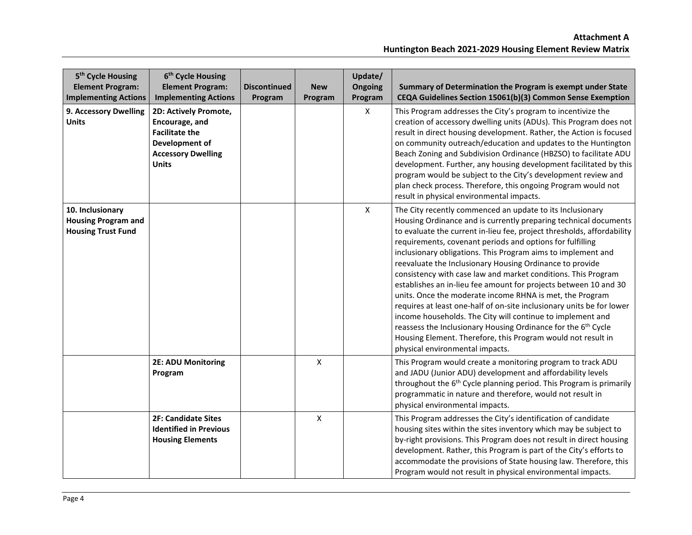| 5 <sup>th</sup> Cycle Housing<br><b>Element Program:</b><br><b>Implementing Actions</b> | 6 <sup>th</sup> Cycle Housing<br><b>Element Program:</b><br><b>Implementing Actions</b>                                         | <b>Discontinued</b><br>Program | <b>New</b><br>Program | Update/<br><b>Ongoing</b><br>Program | Summary of Determination the Program is exempt under State<br>CEQA Guidelines Section 15061(b)(3) Common Sense Exemption                                                                                                                                                                                                                                                                                                                                                                                                                                                                                                                                                                                                                                                                                                                                                                                                 |
|-----------------------------------------------------------------------------------------|---------------------------------------------------------------------------------------------------------------------------------|--------------------------------|-----------------------|--------------------------------------|--------------------------------------------------------------------------------------------------------------------------------------------------------------------------------------------------------------------------------------------------------------------------------------------------------------------------------------------------------------------------------------------------------------------------------------------------------------------------------------------------------------------------------------------------------------------------------------------------------------------------------------------------------------------------------------------------------------------------------------------------------------------------------------------------------------------------------------------------------------------------------------------------------------------------|
| 9. Accessory Dwelling<br><b>Units</b>                                                   | 2D: Actively Promote,<br>Encourage, and<br><b>Facilitate the</b><br>Development of<br><b>Accessory Dwelling</b><br><b>Units</b> |                                |                       | X                                    | This Program addresses the City's program to incentivize the<br>creation of accessory dwelling units (ADUs). This Program does not<br>result in direct housing development. Rather, the Action is focused<br>on community outreach/education and updates to the Huntington<br>Beach Zoning and Subdivision Ordinance (HBZSO) to facilitate ADU<br>development. Further, any housing development facilitated by this<br>program would be subject to the City's development review and<br>plan check process. Therefore, this ongoing Program would not<br>result in physical environmental impacts.                                                                                                                                                                                                                                                                                                                       |
| 10. Inclusionary<br><b>Housing Program and</b><br><b>Housing Trust Fund</b>             |                                                                                                                                 |                                |                       | X                                    | The City recently commenced an update to its Inclusionary<br>Housing Ordinance and is currently preparing technical documents<br>to evaluate the current in-lieu fee, project thresholds, affordability<br>requirements, covenant periods and options for fulfilling<br>inclusionary obligations. This Program aims to implement and<br>reevaluate the Inclusionary Housing Ordinance to provide<br>consistency with case law and market conditions. This Program<br>establishes an in-lieu fee amount for projects between 10 and 30<br>units. Once the moderate income RHNA is met, the Program<br>requires at least one-half of on-site inclusionary units be for lower<br>income households. The City will continue to implement and<br>reassess the Inclusionary Housing Ordinance for the 6 <sup>th</sup> Cycle<br>Housing Element. Therefore, this Program would not result in<br>physical environmental impacts. |
|                                                                                         | <b>2E: ADU Monitoring</b><br>Program                                                                                            |                                | $\mathsf{x}$          |                                      | This Program would create a monitoring program to track ADU<br>and JADU (Junior ADU) development and affordability levels<br>throughout the 6 <sup>th</sup> Cycle planning period. This Program is primarily<br>programmatic in nature and therefore, would not result in<br>physical environmental impacts.                                                                                                                                                                                                                                                                                                                                                                                                                                                                                                                                                                                                             |
|                                                                                         | <b>2F: Candidate Sites</b><br><b>Identified in Previous</b><br><b>Housing Elements</b>                                          |                                | $\pmb{\mathsf{X}}$    |                                      | This Program addresses the City's identification of candidate<br>housing sites within the sites inventory which may be subject to<br>by-right provisions. This Program does not result in direct housing<br>development. Rather, this Program is part of the City's efforts to<br>accommodate the provisions of State housing law. Therefore, this<br>Program would not result in physical environmental impacts.                                                                                                                                                                                                                                                                                                                                                                                                                                                                                                        |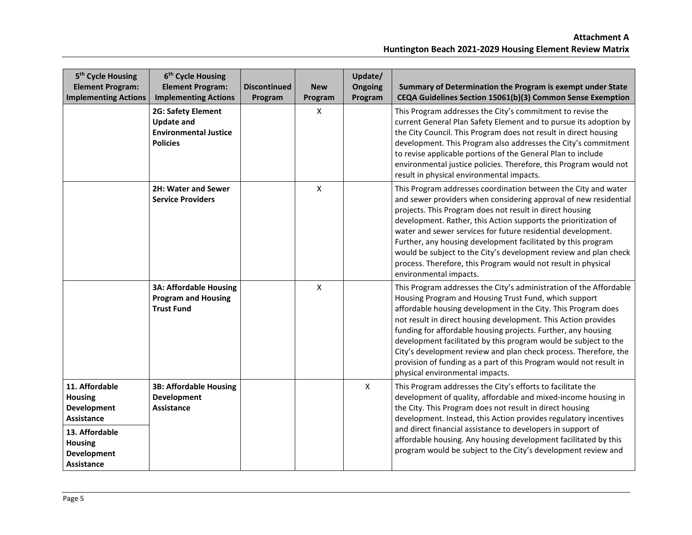| 5 <sup>th</sup> Cycle Housing<br><b>Element Program:</b><br><b>Implementing Actions</b>                                               | 6 <sup>th</sup> Cycle Housing<br><b>Element Program:</b><br><b>Implementing Actions</b>           | <b>Discontinued</b><br>Program | <b>New</b><br>Program | Update/<br>Ongoing<br>Program | Summary of Determination the Program is exempt under State<br>CEQA Guidelines Section 15061(b)(3) Common Sense Exemption                                                                                                                                                                                                                                                                                                                                                                                                                                                        |
|---------------------------------------------------------------------------------------------------------------------------------------|---------------------------------------------------------------------------------------------------|--------------------------------|-----------------------|-------------------------------|---------------------------------------------------------------------------------------------------------------------------------------------------------------------------------------------------------------------------------------------------------------------------------------------------------------------------------------------------------------------------------------------------------------------------------------------------------------------------------------------------------------------------------------------------------------------------------|
|                                                                                                                                       | <b>2G: Safety Element</b><br><b>Update and</b><br><b>Environmental Justice</b><br><b>Policies</b> |                                | X                     |                               | This Program addresses the City's commitment to revise the<br>current General Plan Safety Element and to pursue its adoption by<br>the City Council. This Program does not result in direct housing<br>development. This Program also addresses the City's commitment<br>to revise applicable portions of the General Plan to include<br>environmental justice policies. Therefore, this Program would not<br>result in physical environmental impacts.                                                                                                                         |
|                                                                                                                                       | 2H: Water and Sewer<br><b>Service Providers</b>                                                   |                                | $\mathsf{x}$          |                               | This Program addresses coordination between the City and water<br>and sewer providers when considering approval of new residential<br>projects. This Program does not result in direct housing<br>development. Rather, this Action supports the prioritization of<br>water and sewer services for future residential development.<br>Further, any housing development facilitated by this program<br>would be subject to the City's development review and plan check<br>process. Therefore, this Program would not result in physical<br>environmental impacts.                |
|                                                                                                                                       | <b>3A: Affordable Housing</b><br><b>Program and Housing</b><br><b>Trust Fund</b>                  |                                | $\pmb{\mathsf{X}}$    |                               | This Program addresses the City's administration of the Affordable<br>Housing Program and Housing Trust Fund, which support<br>affordable housing development in the City. This Program does<br>not result in direct housing development. This Action provides<br>funding for affordable housing projects. Further, any housing<br>development facilitated by this program would be subject to the<br>City's development review and plan check process. Therefore, the<br>provision of funding as a part of this Program would not result in<br>physical environmental impacts. |
| 11. Affordable<br><b>Housing</b><br>Development<br><b>Assistance</b><br>13. Affordable<br>Housing<br><b>Development</b><br>Assistance | <b>3B: Affordable Housing</b><br><b>Development</b><br><b>Assistance</b>                          |                                |                       | X                             | This Program addresses the City's efforts to facilitate the<br>development of quality, affordable and mixed-income housing in<br>the City. This Program does not result in direct housing<br>development. Instead, this Action provides regulatory incentives<br>and direct financial assistance to developers in support of<br>affordable housing. Any housing development facilitated by this<br>program would be subject to the City's development review and                                                                                                                |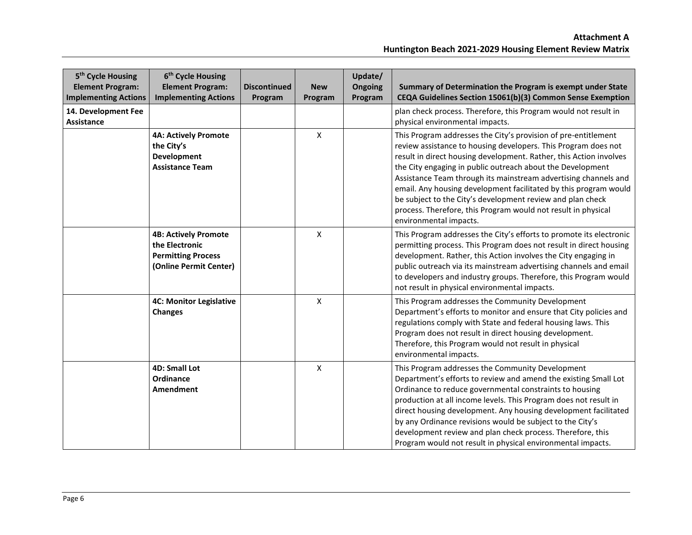| 5 <sup>th</sup> Cycle Housing<br><b>Element Program:</b><br><b>Implementing Actions</b> | 6 <sup>th</sup> Cycle Housing<br><b>Element Program:</b><br><b>Implementing Actions</b>              | <b>Discontinued</b><br>Program | <b>New</b><br>Program | Update/<br><b>Ongoing</b><br>Program | Summary of Determination the Program is exempt under State<br>CEQA Guidelines Section 15061(b)(3) Common Sense Exemption                                                                                                                                                                                                                                                                                                                                                                                                                                             |
|-----------------------------------------------------------------------------------------|------------------------------------------------------------------------------------------------------|--------------------------------|-----------------------|--------------------------------------|----------------------------------------------------------------------------------------------------------------------------------------------------------------------------------------------------------------------------------------------------------------------------------------------------------------------------------------------------------------------------------------------------------------------------------------------------------------------------------------------------------------------------------------------------------------------|
| 14. Development Fee<br><b>Assistance</b>                                                |                                                                                                      |                                |                       |                                      | plan check process. Therefore, this Program would not result in<br>physical environmental impacts.                                                                                                                                                                                                                                                                                                                                                                                                                                                                   |
|                                                                                         | <b>4A: Actively Promote</b><br>the City's<br>Development<br><b>Assistance Team</b>                   |                                | $\pmb{\mathsf{X}}$    |                                      | This Program addresses the City's provision of pre-entitlement<br>review assistance to housing developers. This Program does not<br>result in direct housing development. Rather, this Action involves<br>the City engaging in public outreach about the Development<br>Assistance Team through its mainstream advertising channels and<br>email. Any housing development facilitated by this program would<br>be subject to the City's development review and plan check<br>process. Therefore, this Program would not result in physical<br>environmental impacts. |
|                                                                                         | <b>4B: Actively Promote</b><br>the Electronic<br><b>Permitting Process</b><br>(Online Permit Center) |                                | X                     |                                      | This Program addresses the City's efforts to promote its electronic<br>permitting process. This Program does not result in direct housing<br>development. Rather, this Action involves the City engaging in<br>public outreach via its mainstream advertising channels and email<br>to developers and industry groups. Therefore, this Program would<br>not result in physical environmental impacts.                                                                                                                                                                |
|                                                                                         | <b>4C: Monitor Legislative</b><br><b>Changes</b>                                                     |                                | $\pmb{\mathsf{X}}$    |                                      | This Program addresses the Community Development<br>Department's efforts to monitor and ensure that City policies and<br>regulations comply with State and federal housing laws. This<br>Program does not result in direct housing development.<br>Therefore, this Program would not result in physical<br>environmental impacts.                                                                                                                                                                                                                                    |
|                                                                                         | <b>4D: Small Lot</b><br>Ordinance<br>Amendment                                                       |                                | X                     |                                      | This Program addresses the Community Development<br>Department's efforts to review and amend the existing Small Lot<br>Ordinance to reduce governmental constraints to housing<br>production at all income levels. This Program does not result in<br>direct housing development. Any housing development facilitated<br>by any Ordinance revisions would be subject to the City's<br>development review and plan check process. Therefore, this<br>Program would not result in physical environmental impacts.                                                      |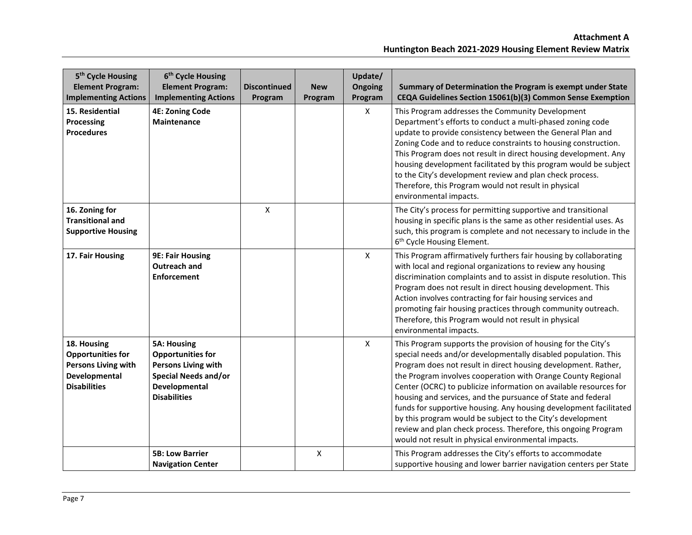| 5 <sup>th</sup> Cycle Housing<br><b>Element Program:</b><br><b>Implementing Actions</b>                       | 6 <sup>th</sup> Cycle Housing<br><b>Element Program:</b><br><b>Implementing Actions</b>                                                             | <b>Discontinued</b><br>Program | <b>New</b><br>Program | Update/<br><b>Ongoing</b><br>Program | Summary of Determination the Program is exempt under State<br>CEQA Guidelines Section 15061(b)(3) Common Sense Exemption                                                                                                                                                                                                                                                                                                                                                                                                                                                                                                                                           |
|---------------------------------------------------------------------------------------------------------------|-----------------------------------------------------------------------------------------------------------------------------------------------------|--------------------------------|-----------------------|--------------------------------------|--------------------------------------------------------------------------------------------------------------------------------------------------------------------------------------------------------------------------------------------------------------------------------------------------------------------------------------------------------------------------------------------------------------------------------------------------------------------------------------------------------------------------------------------------------------------------------------------------------------------------------------------------------------------|
| 15. Residential<br>Processing<br><b>Procedures</b>                                                            | <b>4E: Zoning Code</b><br><b>Maintenance</b>                                                                                                        |                                |                       | X                                    | This Program addresses the Community Development<br>Department's efforts to conduct a multi-phased zoning code<br>update to provide consistency between the General Plan and<br>Zoning Code and to reduce constraints to housing construction.<br>This Program does not result in direct housing development. Any<br>housing development facilitated by this program would be subject<br>to the City's development review and plan check process.<br>Therefore, this Program would not result in physical<br>environmental impacts.                                                                                                                                |
| 16. Zoning for<br><b>Transitional and</b><br><b>Supportive Housing</b>                                        |                                                                                                                                                     | X                              |                       |                                      | The City's process for permitting supportive and transitional<br>housing in specific plans is the same as other residential uses. As<br>such, this program is complete and not necessary to include in the<br>6 <sup>th</sup> Cycle Housing Element.                                                                                                                                                                                                                                                                                                                                                                                                               |
| 17. Fair Housing                                                                                              | <b>9E: Fair Housing</b><br><b>Outreach and</b><br><b>Enforcement</b>                                                                                |                                |                       | $\pmb{\times}$                       | This Program affirmatively furthers fair housing by collaborating<br>with local and regional organizations to review any housing<br>discrimination complaints and to assist in dispute resolution. This<br>Program does not result in direct housing development. This<br>Action involves contracting for fair housing services and<br>promoting fair housing practices through community outreach.<br>Therefore, this Program would not result in physical<br>environmental impacts.                                                                                                                                                                              |
| 18. Housing<br><b>Opportunities for</b><br><b>Persons Living with</b><br>Developmental<br><b>Disabilities</b> | <b>5A: Housing</b><br><b>Opportunities for</b><br><b>Persons Living with</b><br><b>Special Needs and/or</b><br>Developmental<br><b>Disabilities</b> |                                |                       | X                                    | This Program supports the provision of housing for the City's<br>special needs and/or developmentally disabled population. This<br>Program does not result in direct housing development. Rather,<br>the Program involves cooperation with Orange County Regional<br>Center (OCRC) to publicize information on available resources for<br>housing and services, and the pursuance of State and federal<br>funds for supportive housing. Any housing development facilitated<br>by this program would be subject to the City's development<br>review and plan check process. Therefore, this ongoing Program<br>would not result in physical environmental impacts. |
|                                                                                                               | <b>5B: Low Barrier</b><br><b>Navigation Center</b>                                                                                                  |                                | X                     |                                      | This Program addresses the City's efforts to accommodate<br>supportive housing and lower barrier navigation centers per State                                                                                                                                                                                                                                                                                                                                                                                                                                                                                                                                      |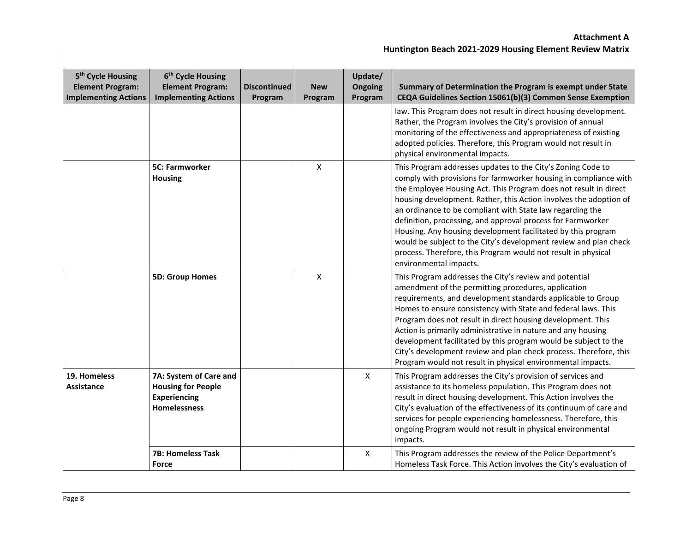| 5 <sup>th</sup> Cycle Housing<br><b>Element Program:</b><br><b>Implementing Actions</b> | 6 <sup>th</sup> Cycle Housing<br><b>Element Program:</b><br><b>Implementing Actions</b>           | <b>Discontinued</b><br>Program | <b>New</b><br>Program     | Update/<br>Ongoing<br>Program | Summary of Determination the Program is exempt under State<br>CEQA Guidelines Section 15061(b)(3) Common Sense Exemption                                                                                                                                                                                                                                                                                                                                                                                                                                                                                                            |
|-----------------------------------------------------------------------------------------|---------------------------------------------------------------------------------------------------|--------------------------------|---------------------------|-------------------------------|-------------------------------------------------------------------------------------------------------------------------------------------------------------------------------------------------------------------------------------------------------------------------------------------------------------------------------------------------------------------------------------------------------------------------------------------------------------------------------------------------------------------------------------------------------------------------------------------------------------------------------------|
|                                                                                         |                                                                                                   |                                |                           |                               | law. This Program does not result in direct housing development.<br>Rather, the Program involves the City's provision of annual<br>monitoring of the effectiveness and appropriateness of existing<br>adopted policies. Therefore, this Program would not result in<br>physical environmental impacts.                                                                                                                                                                                                                                                                                                                              |
|                                                                                         | <b>5C: Farmworker</b><br><b>Housing</b>                                                           |                                | $\mathsf{x}$              |                               | This Program addresses updates to the City's Zoning Code to<br>comply with provisions for farmworker housing in compliance with<br>the Employee Housing Act. This Program does not result in direct<br>housing development. Rather, this Action involves the adoption of<br>an ordinance to be compliant with State law regarding the<br>definition, processing, and approval process for Farmworker<br>Housing. Any housing development facilitated by this program<br>would be subject to the City's development review and plan check<br>process. Therefore, this Program would not result in physical<br>environmental impacts. |
|                                                                                         | <b>5D: Group Homes</b>                                                                            |                                | $\boldsymbol{\mathsf{X}}$ |                               | This Program addresses the City's review and potential<br>amendment of the permitting procedures, application<br>requirements, and development standards applicable to Group<br>Homes to ensure consistency with State and federal laws. This<br>Program does not result in direct housing development. This<br>Action is primarily administrative in nature and any housing<br>development facilitated by this program would be subject to the<br>City's development review and plan check process. Therefore, this<br>Program would not result in physical environmental impacts.                                                 |
| 19. Homeless<br>Assistance                                                              | 7A: System of Care and<br><b>Housing for People</b><br><b>Experiencing</b><br><b>Homelessness</b> |                                |                           | $\mathsf{X}$                  | This Program addresses the City's provision of services and<br>assistance to its homeless population. This Program does not<br>result in direct housing development. This Action involves the<br>City's evaluation of the effectiveness of its continuum of care and<br>services for people experiencing homelessness. Therefore, this<br>ongoing Program would not result in physical environmental<br>impacts.                                                                                                                                                                                                                    |
|                                                                                         | <b>7B: Homeless Task</b><br>Force                                                                 |                                |                           | $\pmb{\mathsf{X}}$            | This Program addresses the review of the Police Department's<br>Homeless Task Force. This Action involves the City's evaluation of                                                                                                                                                                                                                                                                                                                                                                                                                                                                                                  |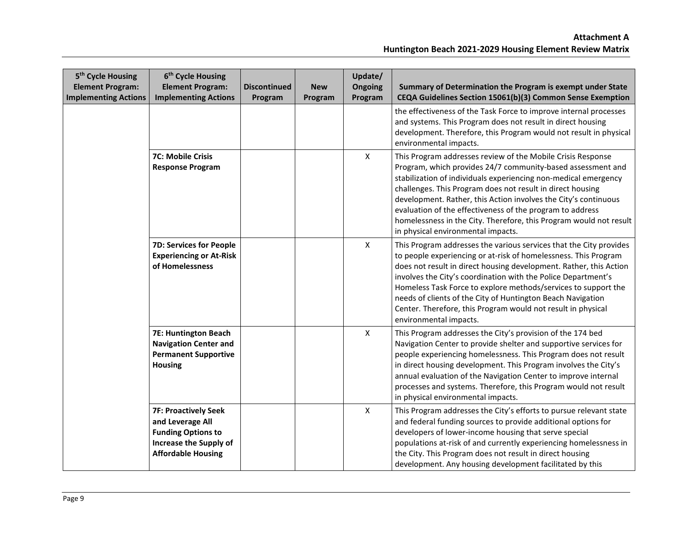| 5 <sup>th</sup> Cycle Housing<br><b>Element Program:</b><br><b>Implementing Actions</b> | 6 <sup>th</sup> Cycle Housing<br><b>Element Program:</b><br><b>Implementing Actions</b>                                             | <b>Discontinued</b><br>Program | <b>New</b><br>Program | Update/<br>Ongoing<br>Program | Summary of Determination the Program is exempt under State<br>CEQA Guidelines Section 15061(b)(3) Common Sense Exemption                                                                                                                                                                                                                                                                                                                                                                                |
|-----------------------------------------------------------------------------------------|-------------------------------------------------------------------------------------------------------------------------------------|--------------------------------|-----------------------|-------------------------------|---------------------------------------------------------------------------------------------------------------------------------------------------------------------------------------------------------------------------------------------------------------------------------------------------------------------------------------------------------------------------------------------------------------------------------------------------------------------------------------------------------|
|                                                                                         |                                                                                                                                     |                                |                       |                               | the effectiveness of the Task Force to improve internal processes<br>and systems. This Program does not result in direct housing<br>development. Therefore, this Program would not result in physical<br>environmental impacts.                                                                                                                                                                                                                                                                         |
|                                                                                         | 7C: Mobile Crisis<br><b>Response Program</b>                                                                                        |                                |                       | $\boldsymbol{\mathsf{X}}$     | This Program addresses review of the Mobile Crisis Response<br>Program, which provides 24/7 community-based assessment and<br>stabilization of individuals experiencing non-medical emergency<br>challenges. This Program does not result in direct housing<br>development. Rather, this Action involves the City's continuous<br>evaluation of the effectiveness of the program to address<br>homelessness in the City. Therefore, this Program would not result<br>in physical environmental impacts. |
|                                                                                         | <b>7D: Services for People</b><br><b>Experiencing or At-Risk</b><br>of Homelessness                                                 |                                |                       | $\boldsymbol{\mathsf{X}}$     | This Program addresses the various services that the City provides<br>to people experiencing or at-risk of homelessness. This Program<br>does not result in direct housing development. Rather, this Action<br>involves the City's coordination with the Police Department's<br>Homeless Task Force to explore methods/services to support the<br>needs of clients of the City of Huntington Beach Navigation<br>Center. Therefore, this Program would not result in physical<br>environmental impacts. |
|                                                                                         | 7E: Huntington Beach<br><b>Navigation Center and</b><br><b>Permanent Supportive</b><br><b>Housing</b>                               |                                |                       | $\pmb{\times}$                | This Program addresses the City's provision of the 174 bed<br>Navigation Center to provide shelter and supportive services for<br>people experiencing homelessness. This Program does not result<br>in direct housing development. This Program involves the City's<br>annual evaluation of the Navigation Center to improve internal<br>processes and systems. Therefore, this Program would not result<br>in physical environmental impacts.                                                          |
|                                                                                         | <b>7F: Proactively Seek</b><br>and Leverage All<br><b>Funding Options to</b><br>Increase the Supply of<br><b>Affordable Housing</b> |                                |                       | $\boldsymbol{\mathsf{X}}$     | This Program addresses the City's efforts to pursue relevant state<br>and federal funding sources to provide additional options for<br>developers of lower-income housing that serve special<br>populations at-risk of and currently experiencing homelessness in<br>the City. This Program does not result in direct housing<br>development. Any housing development facilitated by this                                                                                                               |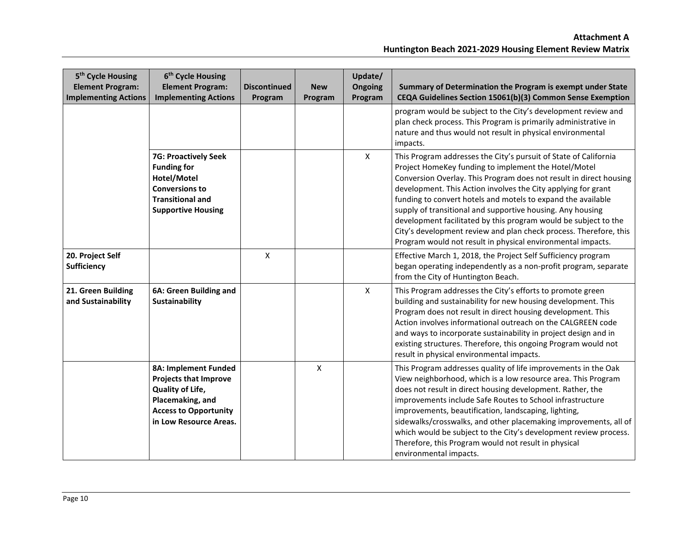| 5 <sup>th</sup> Cycle Housing<br><b>Element Program:</b><br><b>Implementing Actions</b> | 6 <sup>th</sup> Cycle Housing<br><b>Element Program:</b><br><b>Implementing Actions</b>                                                                | <b>Discontinued</b><br>Program | <b>New</b><br>Program | Update/<br><b>Ongoing</b><br>Program | Summary of Determination the Program is exempt under State<br>CEQA Guidelines Section 15061(b)(3) Common Sense Exemption                                                                                                                                                                                                                                                                                                                                                                                                                                                                             |
|-----------------------------------------------------------------------------------------|--------------------------------------------------------------------------------------------------------------------------------------------------------|--------------------------------|-----------------------|--------------------------------------|------------------------------------------------------------------------------------------------------------------------------------------------------------------------------------------------------------------------------------------------------------------------------------------------------------------------------------------------------------------------------------------------------------------------------------------------------------------------------------------------------------------------------------------------------------------------------------------------------|
|                                                                                         |                                                                                                                                                        |                                |                       |                                      | program would be subject to the City's development review and<br>plan check process. This Program is primarily administrative in<br>nature and thus would not result in physical environmental<br>impacts.                                                                                                                                                                                                                                                                                                                                                                                           |
|                                                                                         | <b>7G: Proactively Seek</b><br><b>Funding for</b><br>Hotel/Motel<br><b>Conversions to</b><br><b>Transitional and</b><br><b>Supportive Housing</b>      |                                |                       | $\mathsf{X}$                         | This Program addresses the City's pursuit of State of California<br>Project HomeKey funding to implement the Hotel/Motel<br>Conversion Overlay. This Program does not result in direct housing<br>development. This Action involves the City applying for grant<br>funding to convert hotels and motels to expand the available<br>supply of transitional and supportive housing. Any housing<br>development facilitated by this program would be subject to the<br>City's development review and plan check process. Therefore, this<br>Program would not result in physical environmental impacts. |
| 20. Project Self<br>Sufficiency                                                         |                                                                                                                                                        | X                              |                       |                                      | Effective March 1, 2018, the Project Self Sufficiency program<br>began operating independently as a non-profit program, separate<br>from the City of Huntington Beach.                                                                                                                                                                                                                                                                                                                                                                                                                               |
| 21. Green Building<br>and Sustainability                                                | 6A: Green Building and<br>Sustainability                                                                                                               |                                |                       | X                                    | This Program addresses the City's efforts to promote green<br>building and sustainability for new housing development. This<br>Program does not result in direct housing development. This<br>Action involves informational outreach on the CALGREEN code<br>and ways to incorporate sustainability in project design and in<br>existing structures. Therefore, this ongoing Program would not<br>result in physical environmental impacts.                                                                                                                                                          |
|                                                                                         | 8A: Implement Funded<br><b>Projects that Improve</b><br>Quality of Life,<br>Placemaking, and<br><b>Access to Opportunity</b><br>in Low Resource Areas. |                                | X                     |                                      | This Program addresses quality of life improvements in the Oak<br>View neighborhood, which is a low resource area. This Program<br>does not result in direct housing development. Rather, the<br>improvements include Safe Routes to School infrastructure<br>improvements, beautification, landscaping, lighting,<br>sidewalks/crosswalks, and other placemaking improvements, all of<br>which would be subject to the City's development review process.<br>Therefore, this Program would not result in physical<br>environmental impacts.                                                         |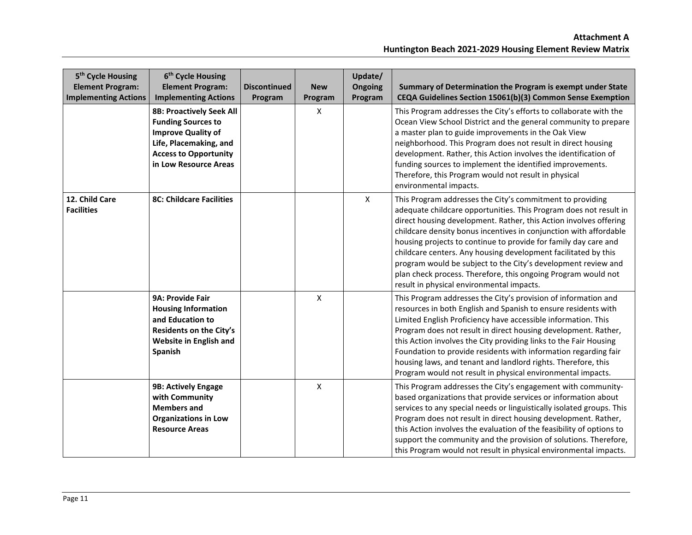| 5 <sup>th</sup> Cycle Housing<br><b>Element Program:</b><br><b>Implementing Actions</b> | 6 <sup>th</sup> Cycle Housing<br><b>Element Program:</b><br><b>Implementing Actions</b>                                                                                      | <b>Discontinued</b><br>Program | <b>New</b><br>Program | Update/<br>Ongoing<br>Program | Summary of Determination the Program is exempt under State<br>CEQA Guidelines Section 15061(b)(3) Common Sense Exemption                                                                                                                                                                                                                                                                                                                                                                                                                                                                     |
|-----------------------------------------------------------------------------------------|------------------------------------------------------------------------------------------------------------------------------------------------------------------------------|--------------------------------|-----------------------|-------------------------------|----------------------------------------------------------------------------------------------------------------------------------------------------------------------------------------------------------------------------------------------------------------------------------------------------------------------------------------------------------------------------------------------------------------------------------------------------------------------------------------------------------------------------------------------------------------------------------------------|
|                                                                                         | <b>8B: Proactively Seek All</b><br><b>Funding Sources to</b><br><b>Improve Quality of</b><br>Life, Placemaking, and<br><b>Access to Opportunity</b><br>in Low Resource Areas |                                | X                     |                               | This Program addresses the City's efforts to collaborate with the<br>Ocean View School District and the general community to prepare<br>a master plan to guide improvements in the Oak View<br>neighborhood. This Program does not result in direct housing<br>development. Rather, this Action involves the identification of<br>funding sources to implement the identified improvements.<br>Therefore, this Program would not result in physical<br>environmental impacts.                                                                                                                |
| 12. Child Care<br><b>Facilities</b>                                                     | <b>8C: Childcare Facilities</b>                                                                                                                                              |                                |                       | X                             | This Program addresses the City's commitment to providing<br>adequate childcare opportunities. This Program does not result in<br>direct housing development. Rather, this Action involves offering<br>childcare density bonus incentives in conjunction with affordable<br>housing projects to continue to provide for family day care and<br>childcare centers. Any housing development facilitated by this<br>program would be subject to the City's development review and<br>plan check process. Therefore, this ongoing Program would not<br>result in physical environmental impacts. |
|                                                                                         | 9A: Provide Fair<br><b>Housing Information</b><br>and Education to<br>Residents on the City's<br>Website in English and<br>Spanish                                           |                                | $\pmb{\mathsf{X}}$    |                               | This Program addresses the City's provision of information and<br>resources in both English and Spanish to ensure residents with<br>Limited English Proficiency have accessible information. This<br>Program does not result in direct housing development. Rather,<br>this Action involves the City providing links to the Fair Housing<br>Foundation to provide residents with information regarding fair<br>housing laws, and tenant and landlord rights. Therefore, this<br>Program would not result in physical environmental impacts.                                                  |
|                                                                                         | 9B: Actively Engage<br>with Community<br><b>Members and</b><br><b>Organizations in Low</b><br><b>Resource Areas</b>                                                          |                                | $\pmb{\mathsf{X}}$    |                               | This Program addresses the City's engagement with community-<br>based organizations that provide services or information about<br>services to any special needs or linguistically isolated groups. This<br>Program does not result in direct housing development. Rather,<br>this Action involves the evaluation of the feasibility of options to<br>support the community and the provision of solutions. Therefore,<br>this Program would not result in physical environmental impacts.                                                                                                    |